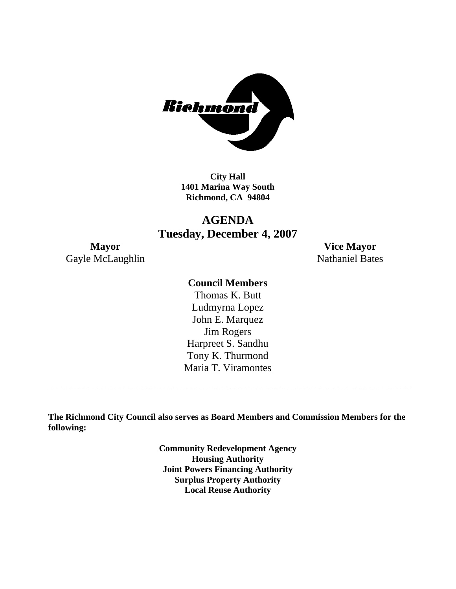

**City Hall 1401 Marina Way South Richmond, CA 94804** 

## **AGENDA Tuesday, December 4, 2007**

Gayle McLaughlin Nathaniel Bates

**Mayor Vice Mayor** 

#### **Council Members**

Harpreet S. Sandhu Tony K. Thurmond Maria T. Viramontes Thomas K. Butt Ludmyrna Lopez John E. Marquez Jim Rogers

**The Richmond City Council also serves as Board Members and Commission Members for the following:** 

> **Community Redevelopment Agency Housing Authority Joint Powers Financing Authority Surplus Property Authority Local Reuse Authority**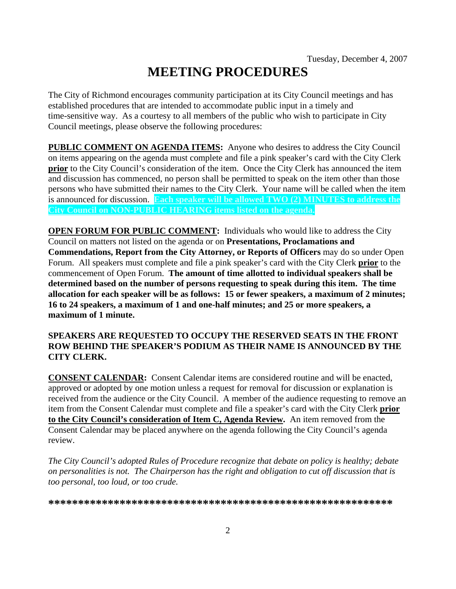# **MEETING PROCEDURES**

The City of Richmond encourages community participation at its City Council meetings and has established procedures that are intended to accommodate public input in a timely and time-sensitive way. As a courtesy to all members of the public who wish to participate in City Council meetings, please observe the following procedures:

**PUBLIC COMMENT ON AGENDA ITEMS:** Anyone who desires to address the City Council on items appearing on the agenda must complete and file a pink speaker's card with the City Clerk **prior** to the City Council's consideration of the item. Once the City Clerk has announced the item and discussion has commenced, no person shall be permitted to speak on the item other than those persons who have submitted their names to the City Clerk. Your name will be called when the item is announced for discussion. **Each speaker will be allowed TWO (2) MINUTES to address the City Council on NON-PUBLIC HEARING items listed on the agenda.** 

**OPEN FORUM FOR PUBLIC COMMENT:** Individuals who would like to address the City Council on matters not listed on the agenda or on **Presentations, Proclamations and Commendations, Report from the City Attorney, or Reports of Officers** may do so under Open Forum. All speakers must complete and file a pink speaker's card with the City Clerk **prior** to the commencement of Open Forum. **The amount of time allotted to individual speakers shall be determined based on the number of persons requesting to speak during this item. The time allocation for each speaker will be as follows: 15 or fewer speakers, a maximum of 2 minutes; 16 to 24 speakers, a maximum of 1 and one-half minutes; and 25 or more speakers, a maximum of 1 minute.** 

#### **SPEAKERS ARE REQUESTED TO OCCUPY THE RESERVED SEATS IN THE FRONT ROW BEHIND THE SPEAKER'S PODIUM AS THEIR NAME IS ANNOUNCED BY THE CITY CLERK.**

**CONSENT CALENDAR:** Consent Calendar items are considered routine and will be enacted, approved or adopted by one motion unless a request for removal for discussion or explanation is received from the audience or the City Council. A member of the audience requesting to remove an item from the Consent Calendar must complete and file a speaker's card with the City Clerk **prior to the City Council's consideration of Item C, Agenda Review.** An item removed from the Consent Calendar may be placed anywhere on the agenda following the City Council's agenda review.

*The City Council's adopted Rules of Procedure recognize that debate on policy is healthy; debate on personalities is not. The Chairperson has the right and obligation to cut off discussion that is too personal, too loud, or too crude.* 

**\*\*\*\*\*\*\*\*\*\*\*\*\*\*\*\*\*\*\*\*\*\*\*\*\*\*\*\*\*\*\*\*\*\*\*\*\*\*\*\*\*\*\*\*\*\*\*\*\*\*\*\*\*\*\*\*\*\***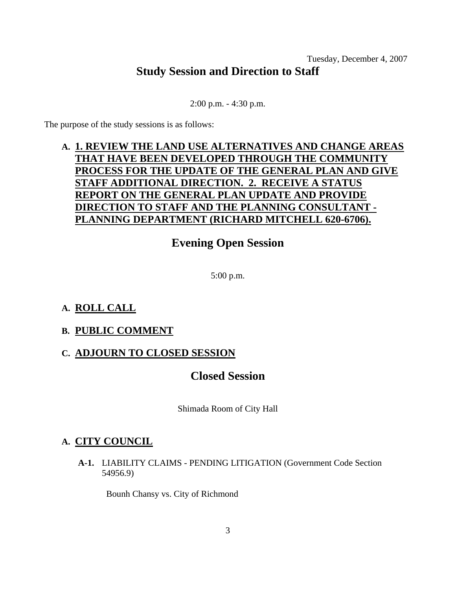#### Tuesday, December 4, 2007 **Study Session and Direction to Staff**

2:00 p.m. - 4:30 p.m.

The purpose of the study sessions is as follows:

## **A. 1. REVIEW THE LAND USE ALTERNATIVES AND CHANGE AREAS THAT HAVE BEEN DEVELOPED THROUGH THE COMMUNITY PROCESS FOR THE UPDATE OF THE GENERAL PLAN AND GIVE STAFF ADDITIONAL DIRECTION. 2. RECEIVE A STATUS REPORT ON THE GENERAL PLAN UPDATE AND PROVIDE DIRECTION TO STAFF AND THE PLANNING CONSULTANT - PLANNING DEPARTMENT (RICHARD MITCHELL 620-6706).**

## **Evening Open Session**

5:00 p.m.

## **A. ROLL CALL**

#### **B. PUBLIC COMMENT**

#### **C. ADJOURN TO CLOSED SESSION**

## **Closed Session**

Shimada Room of City Hall

## **A. CITY COUNCIL**

 **A-1.** LIABILITY CLAIMS - PENDING LITIGATION (Government Code Section 54956.9)

Bounh Chansy vs. City of Richmond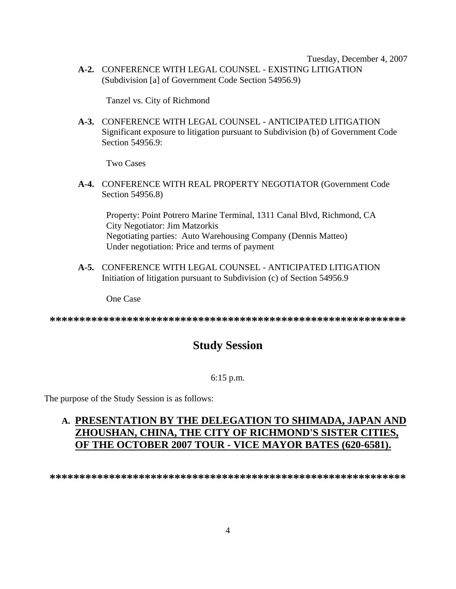Tuesday, December 4, 2007  **A-2.** CONFERENCE WITH LEGAL COUNSEL - EXISTING LITIGATION (Subdivision [a] of Government Code Section 54956.9)

Tanzel vs. City of Richmond

 **A-3.** CONFERENCE WITH LEGAL COUNSEL - ANTICIPATED LITIGATION Significant exposure to litigation pursuant to Subdivision (b) of Government Code Section 54956.9:

Two Cases

 **A-4.** CONFERENCE WITH REAL PROPERTY NEGOTIATOR (Government Code Section 54956.8)

Property: Point Potrero Marine Terminal, 1311 Canal Blvd, Richmond, CA City Negotiator: Jim Matzorkis Negotiating parties: Auto Warehousing Company (Dennis Matteo) Under negotiation: Price and terms of payment

 **A-5.** CONFERENCE WITH LEGAL COUNSEL - ANTICIPATED LITIGATION Initiation of litigation pursuant to Subdivision (c) of Section 54956.9

One Case

**\*\*\*\*\*\*\*\*\*\*\*\*\*\*\*\*\*\*\*\*\*\*\*\*\*\*\*\*\*\*\*\*\*\*\*\*\*\*\*\*\*\*\*\*\*\*\*\*\*\*\*\*\*\*\*\*\*\*\*\*** 

## **Study Session**

#### 6:15 p.m.

The purpose of the Study Session is as follows:

## **A. PRESENTATION BY THE DELEGATION TO SHIMADA, JAPAN AND ZHOUSHAN, CHINA, THE CITY OF RICHMOND'S SISTER CITIES, OF THE OCTOBER 2007 TOUR - VICE MAYOR BATES (620-6581).**

**\*\*\*\*\*\*\*\*\*\*\*\*\*\*\*\*\*\*\*\*\*\*\*\*\*\*\*\*\*\*\*\*\*\*\*\*\*\*\*\*\*\*\*\*\*\*\*\*\*\*\*\*\*\*\*\*\*\*\*\***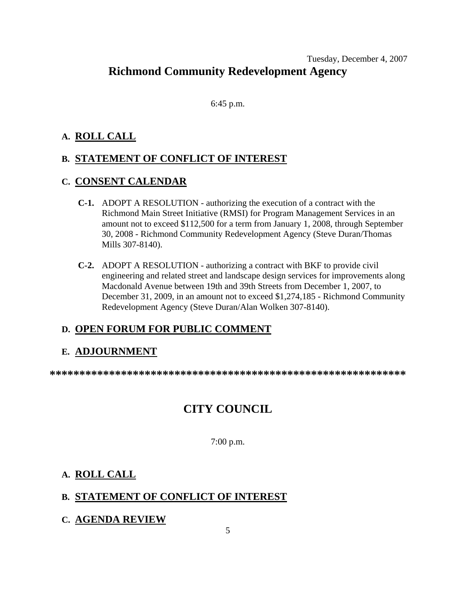#### Tuesday, December 4, 2007 **Richmond Community Redevelopment Agency**

6:45 p.m.

#### **A. ROLL CALL**

#### **B. STATEMENT OF CONFLICT OF INTEREST**

#### **C. CONSENT CALENDAR**

- **C-1.** ADOPT A RESOLUTION authorizing the execution of a contract with the Richmond Main Street Initiative (RMSI) for Program Management Services in an amount not to exceed \$112,500 for a term from January 1, 2008, through September 30, 2008 - Richmond Community Redevelopment Agency (Steve Duran/Thomas Mills 307-8140).
- **C-2.** ADOPT A RESOLUTION authorizing a contract with BKF to provide civil engineering and related street and landscape design services for improvements along Macdonald Avenue between 19th and 39th Streets from December 1, 2007, to December 31, 2009, in an amount not to exceed \$1,274,185 - Richmond Community Redevelopment Agency (Steve Duran/Alan Wolken 307-8140).

## **D. OPEN FORUM FOR PUBLIC COMMENT**

#### **E. ADJOURNMENT**

**\*\*\*\*\*\*\*\*\*\*\*\*\*\*\*\*\*\*\*\*\*\*\*\*\*\*\*\*\*\*\*\*\*\*\*\*\*\*\*\*\*\*\*\*\*\*\*\*\*\*\*\*\*\*\*\*\*\*\*\*** 

## **CITY COUNCIL**

7:00 p.m.

#### **A. ROLL CALL**

## **B. STATEMENT OF CONFLICT OF INTEREST**

#### **C. AGENDA REVIEW**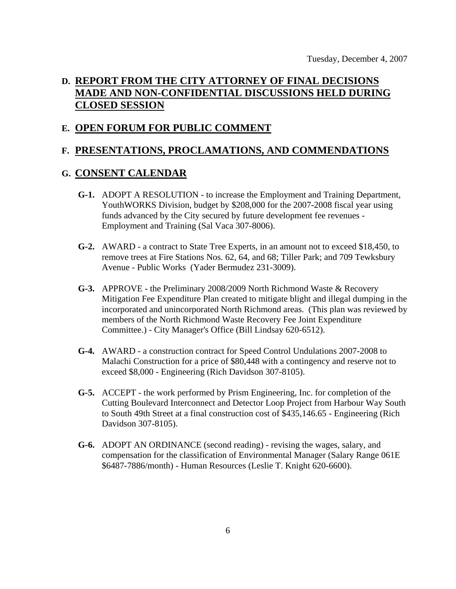## **D. REPORT FROM THE CITY ATTORNEY OF FINAL DECISIONS MADE AND NON-CONFIDENTIAL DISCUSSIONS HELD DURING CLOSED SESSION**

#### **E. OPEN FORUM FOR PUBLIC COMMENT**

#### **F. PRESENTATIONS, PROCLAMATIONS, AND COMMENDATIONS**

#### **G. CONSENT CALENDAR**

- **G-1.** ADOPT A RESOLUTION to increase the Employment and Training Department, YouthWORKS Division, budget by \$208,000 for the 2007-2008 fiscal year using funds advanced by the City secured by future development fee revenues - Employment and Training (Sal Vaca 307-8006).
- **G-2.** AWARD a contract to State Tree Experts, in an amount not to exceed \$18,450, to remove trees at Fire Stations Nos. 62, 64, and 68; Tiller Park; and 709 Tewksbury Avenue - Public Works (Yader Bermudez 231-3009).
- **G-3.** APPROVE the Preliminary 2008/2009 North Richmond Waste & Recovery Mitigation Fee Expenditure Plan created to mitigate blight and illegal dumping in the incorporated and unincorporated North Richmond areas. (This plan was reviewed by members of the North Richmond Waste Recovery Fee Joint Expenditure Committee.) - City Manager's Office (Bill Lindsay 620-6512).
- **G-4.** AWARD a construction contract for Speed Control Undulations 2007-2008 to Malachi Construction for a price of \$80,448 with a contingency and reserve not to exceed \$8,000 - Engineering (Rich Davidson 307-8105).
- **G-5.** ACCEPT the work performed by Prism Engineering, Inc. for completion of the Cutting Boulevard Interconnect and Detector Loop Project from Harbour Way South to South 49th Street at a final construction cost of \$435,146.65 - Engineering (Rich Davidson 307-8105).
- **G-6.** ADOPT AN ORDINANCE (second reading) revising the wages, salary, and compensation for the classification of Environmental Manager (Salary Range 061E \$6487-7886/month) - Human Resources (Leslie T. Knight 620-6600).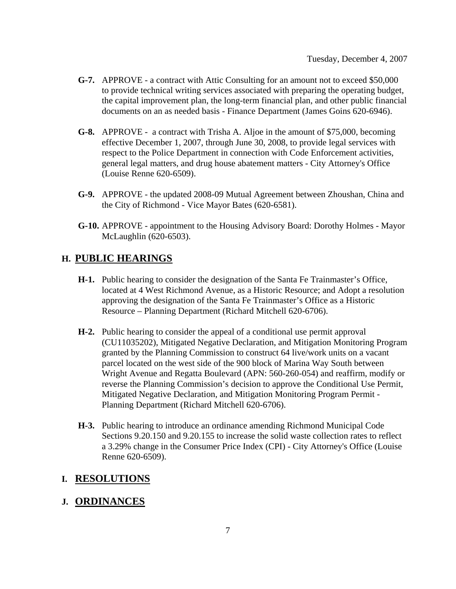- **G-7.** APPROVE a contract with Attic Consulting for an amount not to exceed \$50,000 to provide technical writing services associated with preparing the operating budget, the capital improvement plan, the long-term financial plan, and other public financial documents on an as needed basis - Finance Department (James Goins 620-6946).
- **G-8.** APPROVE a contract with Trisha A. Aljoe in the amount of \$75,000, becoming effective December 1, 2007, through June 30, 2008, to provide legal services with respect to the Police Department in connection with Code Enforcement activities, general legal matters, and drug house abatement matters - City Attorney's Office (Louise Renne 620-6509).
- **G-9.** APPROVE the updated 2008-09 Mutual Agreement between Zhoushan, China and the City of Richmond - Vice Mayor Bates (620-6581).
- **G-10.** APPROVE appointment to the Housing Advisory Board: Dorothy Holmes Mayor McLaughlin (620-6503).

#### **H. PUBLIC HEARINGS**

- **H-1.** Public hearing to consider the designation of the Santa Fe Trainmaster's Office, located at 4 West Richmond Avenue, as a Historic Resource; and Adopt a resolution approving the designation of the Santa Fe Trainmaster's Office as a Historic Resource – Planning Department (Richard Mitchell 620-6706).
- **H-2.** Public hearing to consider the appeal of a conditional use permit approval (CU11035202), Mitigated Negative Declaration, and Mitigation Monitoring Program granted by the Planning Commission to construct 64 live/work units on a vacant parcel located on the west side of the 900 block of Marina Way South between Wright Avenue and Regatta Boulevard (APN: 560-260-054) and reaffirm, modify or reverse the Planning Commission's decision to approve the Conditional Use Permit, Mitigated Negative Declaration, and Mitigation Monitoring Program Permit - Planning Department (Richard Mitchell 620-6706).
- **H-3.** Public hearing to introduce an ordinance amending Richmond Municipal Code Sections 9.20.150 and 9.20.155 to increase the solid waste collection rates to reflect a 3.29% change in the Consumer Price Index (CPI) - City Attorney's Office (Louise Renne 620-6509).

#### **I. RESOLUTIONS**

#### **J. ORDINANCES**